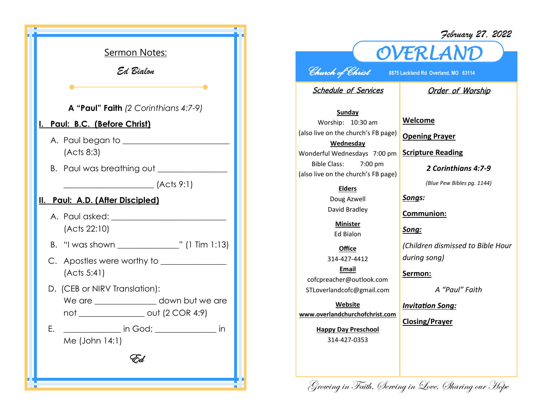

## *February 27, 2022*



*Church of Christ* **8875 Lackland Rd Overland, MO 63114** 

Schedule of Services

## **Order of Worship**

**Sunday** Worship: 10:30 am (also live on the church's FB page) **Wednesday** Wonderful Wednesdays 7:00 pm Bible Class: 7:00 pm (also live on the church's FB page)

## **Elders**

Doug Azwell David Bradley

**Minister** Ed Bialon

**Office** 314-427-4412 **Email** cofcpreacher@outlook.com STLoverlandcofc@gmail.com

**Website www.overlandchurchofchrist.com**

> **Happy Day Preschool** 314-427-0353

**Welcome**

**Opening Prayer**

**Scripture Reading**

*2 Corinthians 4:7-9*

*(Blue Pew Bibles pg. 1144)*

*Songs:*

**Communion:**

*Song:*

*(Children dismissed to Bible Hour during song)*

**Sermon:** 

*A "Paul" Faith*

*Invitation Song:*

**Closing/Prayer**

Growing in Faith, Serving in Love, Sharing our Hope